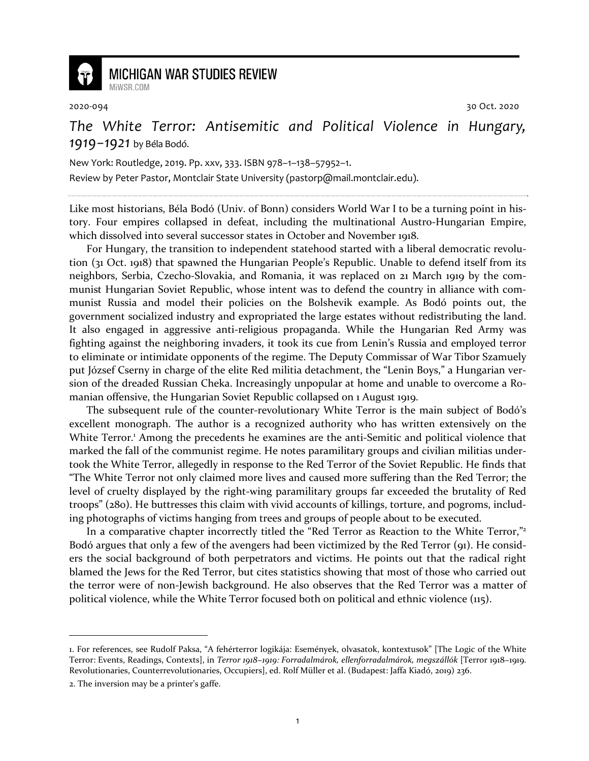

## **MICHIGAN WAR STUDIES REVIEW**

MiWSR COM

2020-094 30 Oct. 2020

## *The White Terror: Antisemitic and Political Violence in Hungary, 1919−1921* by Béla Bodó.

New York: Routledge, 2019. Pp. xxv, 333. ISBN 978–1–138–57952–1.

Review by Peter Pastor, Montclair State University (pastorp@mail.montclair.edu).

Like most historians, Béla Bodó (Univ. of Bonn) considers World War I to be a turning point in history. Four empires collapsed in defeat, including the multinational Austro-Hungarian Empire, which dissolved into several successor states in October and November 1918.

For Hungary, the transition to independent statehood started with a liberal democratic revolution (31 Oct. 1918) that spawned the Hungarian People's Republic. Unable to defend itself from its neighbors, Serbia, Czecho-Slovakia, and Romania, it was replaced on 21 March 1919 by the communist Hungarian Soviet Republic, whose intent was to defend the country in alliance with communist Russia and model their policies on the Bolshevik example. As Bodó points out, the government socialized industry and expropriated the large estates without redistributing the land. It also engaged in aggressive anti-religious propaganda. While the Hungarian Red Army was fighting against the neighboring invaders, it took its cue from Lenin's Russia and employed terror to eliminate or intimidate opponents of the regime. The Deputy Commissar of War Tibor Szamuely put József Cserny in charge of the elite Red militia detachment, the "Lenin Boys," a Hungarian version of the dreaded Russian Cheka. Increasingly unpopular at home and unable to overcome a Romanian offensive, the Hungarian Soviet Republic collapsed on 1 August 1919.

The subsequent rule of the counter-revolutionary White Terror is the main subject of Bodó's excellent monograph. The author is a recognized authority who has written extensively on the White Terror.<sup>1</sup> Among the precedents he examines are the anti-Semitic and political violence that marked the fall of the communist regime. He notes paramilitary groups and civilian militias undertook the White Terror, allegedly in response to the Red Terror of the Soviet Republic. He finds that "The White Terror not only claimed more lives and caused more suffering than the Red Terror; the level of cruelty displayed by the right-wing paramilitary groups far exceeded the brutality of Red troops" (280). He buttresses this claim with vivid accounts of killings, torture, and pogroms, including photographs of victims hanging from trees and groups of people about to be executed.

In a comparative chapter incorrectly titled the "Red Terror as Reaction to the White Terror,"<sup>2</sup> Bodó argues that only a few of the avengers had been victimized by the Red Terror (91). He considers the social background of both perpetrators and victims. He points out that the radical right blamed the Jews for the Red Terror, but cites statistics showing that most of those who carried out the terror were of non-Jewish background. He also observes that the Red Terror was a matter of political violence, while the White Terror focused both on political and ethnic violence (115).

<sup>1.</sup> For references, see Rudolf Paksa, "A fehérterror logikája: Események, olvasatok, kontextusok" [The Logic of the White Terror: Events, Readings, Contexts], in *Terror 1918−1919: Forradalmárok, ellenforradalmárok, megszállók* [Terror 1918−1919. Revolutionaries, Counterrevolutionaries, Occupiers], ed. Rolf Müller et al. (Budapest: Jaffa Kiadó, 2019) 236.

<sup>2.</sup> The inversion may be a printer's gaffe.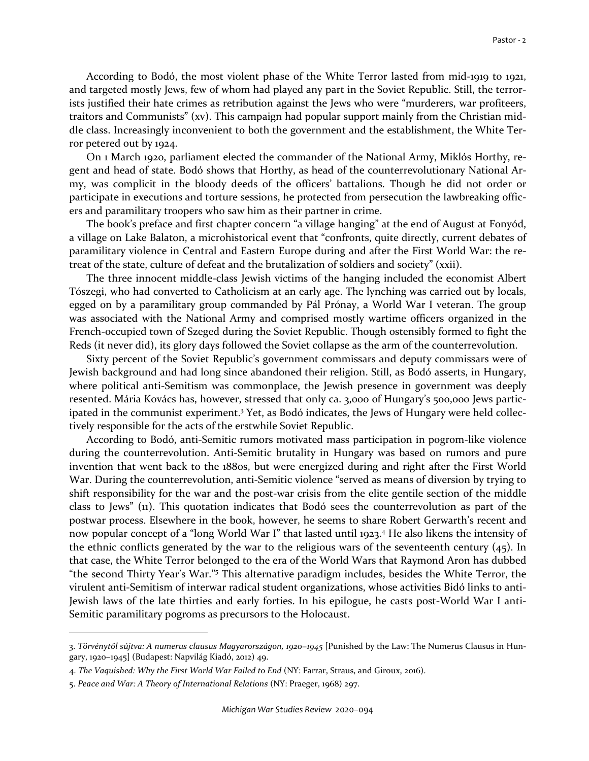According to Bodó, the most violent phase of the White Terror lasted from mid-1919 to 1921, and targeted mostly Jews, few of whom had played any part in the Soviet Republic. Still, the terrorists justified their hate crimes as retribution against the Jews who were "murderers, war profiteers, traitors and Communists" (xv). This campaign had popular support mainly from the Christian middle class. Increasingly inconvenient to both the government and the establishment, the White Terror petered out by 1924.

On 1 March 1920, parliament elected the commander of the National Army, Miklós Horthy, regent and head of state. Bodó shows that Horthy, as head of the counterrevolutionary National Army, was complicit in the bloody deeds of the officers' battalions. Though he did not order or participate in executions and torture sessions, he protected from persecution the lawbreaking officers and paramilitary troopers who saw him as their partner in crime.

The book's preface and first chapter concern "a village hanging" at the end of August at Fonyód, a village on Lake Balaton, a microhistorical event that "confronts, quite directly, current debates of paramilitary violence in Central and Eastern Europe during and after the First World War: the retreat of the state, culture of defeat and the brutalization of soldiers and society" (xxii).

The three innocent middle-class Jewish victims of the hanging included the economist Albert Tószegi, who had converted to Catholicism at an early age. The lynching was carried out by locals, egged on by a paramilitary group commanded by Pál Prónay, a World War I veteran. The group was associated with the National Army and comprised mostly wartime officers organized in the French-occupied town of Szeged during the Soviet Republic. Though ostensibly formed to fight the Reds (it never did), its glory days followed the Soviet collapse as the arm of the counterrevolution.

Sixty percent of the Soviet Republic's government commissars and deputy commissars were of Jewish background and had long since abandoned their religion. Still, as Bodó asserts, in Hungary, where political anti-Semitism was commonplace, the Jewish presence in government was deeply resented. Mária Kovács has, however, stressed that only ca. 3,000 of Hungary's 500,000 Jews participated in the communist experiment.<sup>3</sup> Yet, as Bodó indicates, the Jews of Hungary were held collectively responsible for the acts of the erstwhile Soviet Republic.

According to Bodó, anti-Semitic rumors motivated mass participation in pogrom-like violence during the counterrevolution. Anti-Semitic brutality in Hungary was based on rumors and pure invention that went back to the 1880s, but were energized during and right after the First World War. During the counterrevolution, anti-Semitic violence "served as means of diversion by trying to shift responsibility for the war and the post-war crisis from the elite gentile section of the middle class to Jews" (11). This quotation indicates that Bodó sees the counterrevolution as part of the postwar process. Elsewhere in the book, however, he seems to share Robert Gerwarth's recent and now popular concept of a "long World War I" that lasted until 1923.<sup>4</sup> He also likens the intensity of the ethnic conflicts generated by the war to the religious wars of the seventeenth century  $(45)$ . In that case, the White Terror belonged to the era of the World Wars that Raymond Aron has dubbed "the second Thirty Year's War."<sup>5</sup> This alternative paradigm includes, besides the White Terror, the virulent anti-Semitism of interwar radical student organizations, whose activities Bidó links to anti-Jewish laws of the late thirties and early forties. In his epilogue, he casts post-World War I anti-Semitic paramilitary pogroms as precursors to the Holocaust.

<sup>3.</sup> *Törvénytől sújtva: A numerus clausus Magyarországon, 1920−1945* [Punished by the Law: The Numerus Clausus in Hungary, 1920−1945] (Budapest: Napvilág Kiadó, 2012) 49.

<sup>4.</sup> *The Vaquished: Why the First World War Failed to End* (NY: Farrar, Straus, and Giroux, 2016).

<sup>5.</sup> *Peace and War: A Theory of International Relations* (NY: Praeger, 1968) 297.